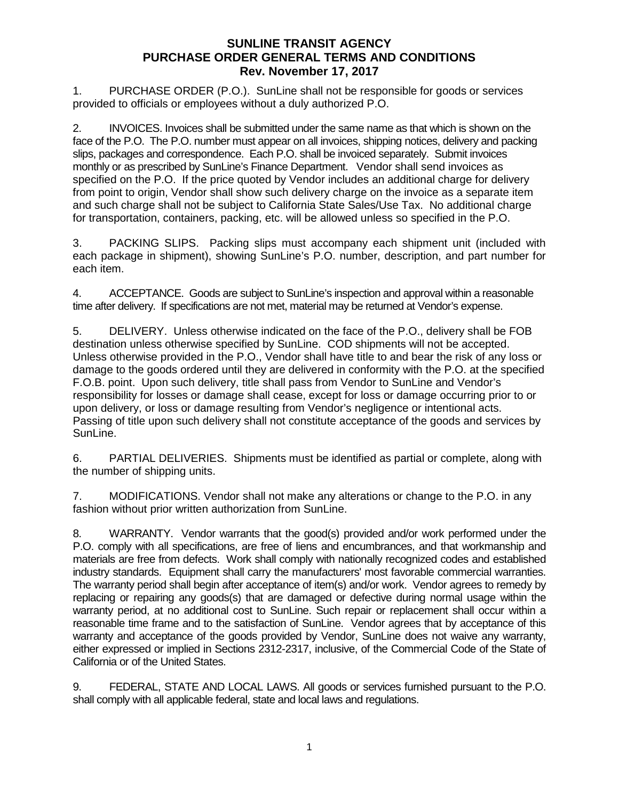1. PURCHASE ORDER (P.O.). SunLine shall not be responsible for goods or services provided to officials or employees without a duly authorized P.O.

2. INVOICES. Invoices shall be submitted under the same name as that which is shown on the face of the P.O. The P.O. number must appear on all invoices, shipping notices, delivery and packing slips, packages and correspondence. Each P.O. shall be invoiced separately. Submit invoices monthly or as prescribed by SunLine's Finance Department. Vendor shall send invoices as specified on the P.O. If the price quoted by Vendor includes an additional charge for delivery from point to origin, Vendor shall show such delivery charge on the invoice as a separate item and such charge shall not be subject to California State Sales/Use Tax. No additional charge for transportation, containers, packing, etc. will be allowed unless so specified in the P.O.

3. PACKING SLIPS. Packing slips must accompany each shipment unit (included with each package in shipment), showing SunLine's P.O. number, description, and part number for each item.

4. ACCEPTANCE. Goods are subject to SunLine's inspection and approval within a reasonable time after delivery. If specifications are not met, material may be returned at Vendor's expense.

5. DELIVERY. Unless otherwise indicated on the face of the P.O., delivery shall be FOB destination unless otherwise specified by SunLine. COD shipments will not be accepted. Unless otherwise provided in the P.O., Vendor shall have title to and bear the risk of any loss or damage to the goods ordered until they are delivered in conformity with the P.O. at the specified F.O.B. point. Upon such delivery, title shall pass from Vendor to SunLine and Vendor's responsibility for losses or damage shall cease, except for loss or damage occurring prior to or upon delivery, or loss or damage resulting from Vendor's negligence or intentional acts. Passing of title upon such delivery shall not constitute acceptance of the goods and services by SunLine.

6. PARTIAL DELIVERIES. Shipments must be identified as partial or complete, along with the number of shipping units.

7. MODIFICATIONS. Vendor shall not make any alterations or change to the P.O. in any fashion without prior written authorization from SunLine.

8. WARRANTY. Vendor warrants that the good(s) provided and/or work performed under the P.O. comply with all specifications, are free of liens and encumbrances, and that workmanship and materials are free from defects. Work shall comply with nationally recognized codes and established industry standards. Equipment shall carry the manufacturers' most favorable commercial warranties. The warranty period shall begin after acceptance of item(s) and/or work. Vendor agrees to remedy by replacing or repairing any goods(s) that are damaged or defective during normal usage within the warranty period, at no additional cost to SunLine. Such repair or replacement shall occur within a reasonable time frame and to the satisfaction of SunLine. Vendor agrees that by acceptance of this warranty and acceptance of the goods provided by Vendor, SunLine does not waive any warranty, either expressed or implied in Sections 2312-2317, inclusive, of the Commercial Code of the State of California or of the United States.

9. FEDERAL, STATE AND LOCAL LAWS. All goods or services furnished pursuant to the P.O. shall comply with all applicable federal, state and local laws and regulations.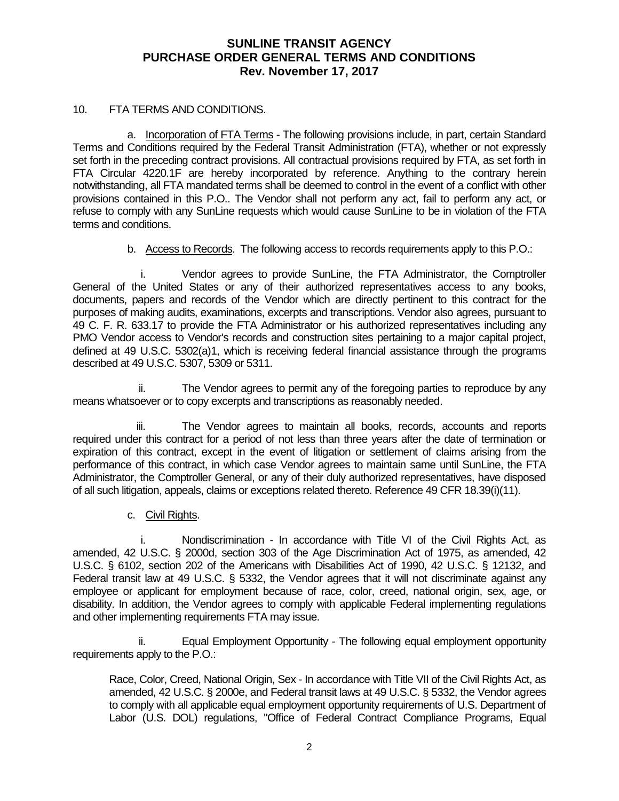#### 10. FTA TERMS AND CONDITIONS.

a. Incorporation of FTA Terms - The following provisions include, in part, certain Standard Terms and Conditions required by the Federal Transit Administration (FTA), whether or not expressly set forth in the preceding contract provisions. All contractual provisions required by FTA, as set forth in FTA Circular 4220.1F are hereby incorporated by reference. Anything to the contrary herein notwithstanding, all FTA mandated terms shall be deemed to control in the event of a conflict with other provisions contained in this P.O.. The Vendor shall not perform any act, fail to perform any act, or refuse to comply with any SunLine requests which would cause SunLine to be in violation of the FTA terms and conditions.

b. Access to Records. The following access to records requirements apply to this P.O.:

i. Vendor agrees to provide SunLine, the FTA Administrator, the Comptroller General of the United States or any of their authorized representatives access to any books, documents, papers and records of the Vendor which are directly pertinent to this contract for the purposes of making audits, examinations, excerpts and transcriptions. Vendor also agrees, pursuant to 49 C. F. R. 633.17 to provide the FTA Administrator or his authorized representatives including any PMO Vendor access to Vendor's records and construction sites pertaining to a major capital project, defined at 49 U.S.C. 5302(a)1, which is receiving federal financial assistance through the programs described at 49 U.S.C. 5307, 5309 or 5311.

ii. The Vendor agrees to permit any of the foregoing parties to reproduce by any means whatsoever or to copy excerpts and transcriptions as reasonably needed.

iii. The Vendor agrees to maintain all books, records, accounts and reports required under this contract for a period of not less than three years after the date of termination or expiration of this contract, except in the event of litigation or settlement of claims arising from the performance of this contract, in which case Vendor agrees to maintain same until SunLine, the FTA Administrator, the Comptroller General, or any of their duly authorized representatives, have disposed of all such litigation, appeals, claims or exceptions related thereto. Reference 49 CFR 18.39(i)(11).

## c. Civil Rights.

i. Nondiscrimination - In accordance with Title VI of the Civil Rights Act, as amended, 42 U.S.C. § 2000d, section 303 of the Age Discrimination Act of 1975, as amended, 42 U.S.C. § 6102, section 202 of the Americans with Disabilities Act of 1990, 42 U.S.C. § 12132, and Federal transit law at 49 U.S.C. § 5332, the Vendor agrees that it will not discriminate against any employee or applicant for employment because of race, color, creed, national origin, sex, age, or disability. In addition, the Vendor agrees to comply with applicable Federal implementing regulations and other implementing requirements FTA may issue.

ii. Equal Employment Opportunity - The following equal employment opportunity requirements apply to the P.O.:

Race, Color, Creed, National Origin, Sex - In accordance with Title VII of the Civil Rights Act, as amended, 42 U.S.C. § 2000e, and Federal transit laws at 49 U.S.C. § 5332, the Vendor agrees to comply with all applicable equal employment opportunity requirements of U.S. Department of Labor (U.S. DOL) regulations, "Office of Federal Contract Compliance Programs, Equal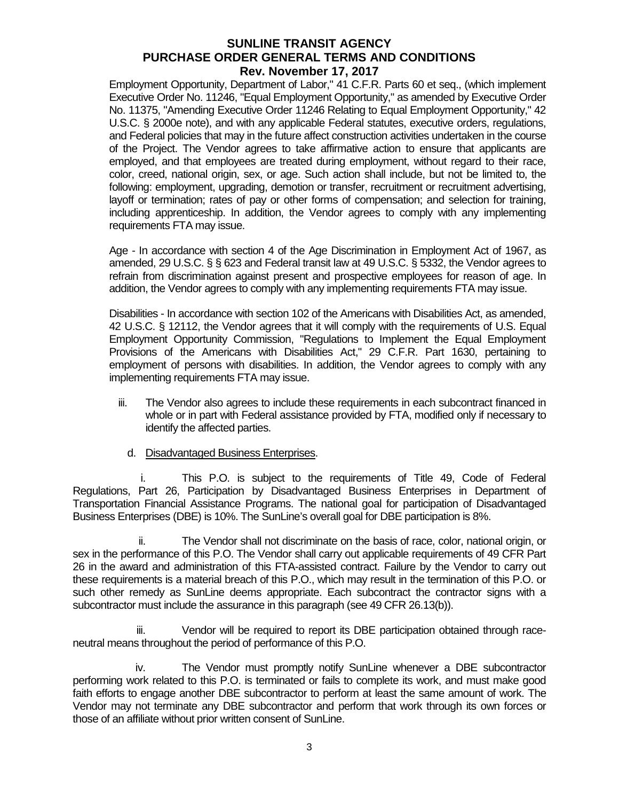Employment Opportunity, Department of Labor," 41 C.F.R. Parts 60 et seq., (which implement Executive Order No. 11246, "Equal Employment Opportunity," as amended by Executive Order No. 11375, "Amending Executive Order 11246 Relating to Equal Employment Opportunity," 42 U.S.C. § 2000e note), and with any applicable Federal statutes, executive orders, regulations. and Federal policies that may in the future affect construction activities undertaken in the course of the Project. The Vendor agrees to take affirmative action to ensure that applicants are employed, and that employees are treated during employment, without regard to their race, color, creed, national origin, sex, or age. Such action shall include, but not be limited to, the following: employment, upgrading, demotion or transfer, recruitment or recruitment advertising, layoff or termination; rates of pay or other forms of compensation; and selection for training, including apprenticeship. In addition, the Vendor agrees to comply with any implementing requirements FTA may issue.

Age - In accordance with section 4 of the Age Discrimination in Employment Act of 1967, as amended, 29 U.S.C. § § 623 and Federal transit law at 49 U.S.C. § 5332, the Vendor agrees to refrain from discrimination against present and prospective employees for reason of age. In addition, the Vendor agrees to comply with any implementing requirements FTA may issue.

Disabilities - In accordance with section 102 of the Americans with Disabilities Act, as amended, 42 U.S.C. § 12112, the Vendor agrees that it will comply with the requirements of U.S. Equal Employment Opportunity Commission, "Regulations to Implement the Equal Employment Provisions of the Americans with Disabilities Act," 29 C.F.R. Part 1630, pertaining to employment of persons with disabilities. In addition, the Vendor agrees to comply with any implementing requirements FTA may issue.

- iii. The Vendor also agrees to include these requirements in each subcontract financed in whole or in part with Federal assistance provided by FTA, modified only if necessary to identify the affected parties.
	- d. Disadvantaged Business Enterprises.

i. This P.O. is subject to the requirements of Title 49, Code of Federal Regulations, Part 26, Participation by Disadvantaged Business Enterprises in Department of Transportation Financial Assistance Programs. The national goal for participation of Disadvantaged Business Enterprises (DBE) is 10%. The SunLine's overall goal for DBE participation is 8%.

ii. The Vendor shall not discriminate on the basis of race, color, national origin, or sex in the performance of this P.O. The Vendor shall carry out applicable requirements of 49 CFR Part 26 in the award and administration of this FTA-assisted contract. Failure by the Vendor to carry out these requirements is a material breach of this P.O., which may result in the termination of this P.O. or such other remedy as SunLine deems appropriate. Each subcontract the contractor signs with a subcontractor must include the assurance in this paragraph (see 49 CFR 26.13(b)).

iii. Vendor will be required to report its DBE participation obtained through raceneutral means throughout the period of performance of this P.O.

iv. The Vendor must promptly notify SunLine whenever a DBE subcontractor performing work related to this P.O. is terminated or fails to complete its work, and must make good faith efforts to engage another DBE subcontractor to perform at least the same amount of work. The Vendor may not terminate any DBE subcontractor and perform that work through its own forces or those of an affiliate without prior written consent of SunLine.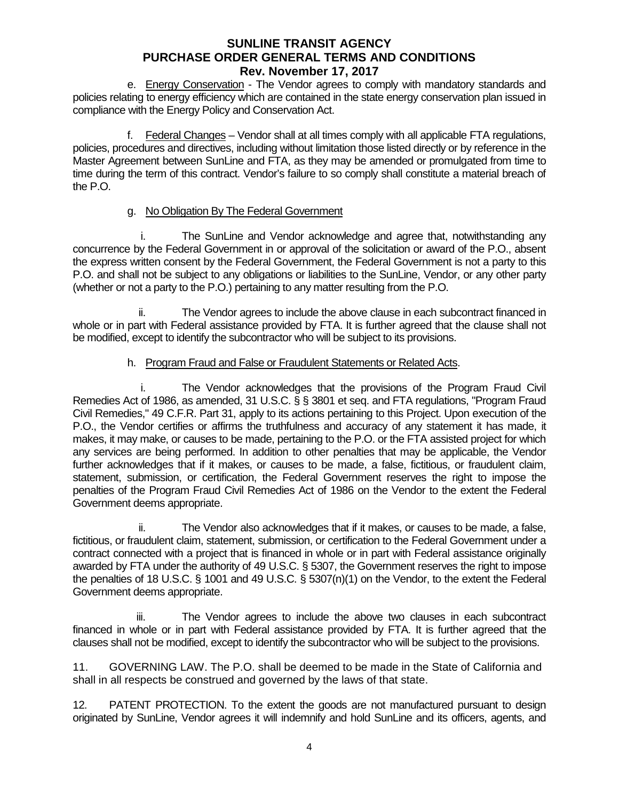e. Energy Conservation - The Vendor agrees to comply with mandatory standards and policies relating to energy efficiency which are contained in the state energy conservation plan issued in compliance with the Energy Policy and Conservation Act.

f. Federal Changes – Vendor shall at all times comply with all applicable FTA regulations, policies, procedures and directives, including without limitation those listed directly or by reference in the Master Agreement between SunLine and FTA, as they may be amended or promulgated from time to time during the term of this contract. Vendor's failure to so comply shall constitute a material breach of the P.O.

## g. No Obligation By The Federal Government

i. The SunLine and Vendor acknowledge and agree that, notwithstanding any concurrence by the Federal Government in or approval of the solicitation or award of the P.O., absent the express written consent by the Federal Government, the Federal Government is not a party to this P.O. and shall not be subject to any obligations or liabilities to the SunLine, Vendor, or any other party (whether or not a party to the P.O.) pertaining to any matter resulting from the P.O.

ii. The Vendor agrees to include the above clause in each subcontract financed in whole or in part with Federal assistance provided by FTA. It is further agreed that the clause shall not be modified, except to identify the subcontractor who will be subject to its provisions.

# h. Program Fraud and False or Fraudulent Statements or Related Acts.

i. The Vendor acknowledges that the provisions of the Program Fraud Civil Remedies Act of 1986, as amended, 31 U.S.C. § § 3801 et seq. and FTA regulations, "Program Fraud Civil Remedies," 49 C.F.R. Part 31, apply to its actions pertaining to this Project. Upon execution of the P.O., the Vendor certifies or affirms the truthfulness and accuracy of any statement it has made, it makes, it may make, or causes to be made, pertaining to the P.O. or the FTA assisted project for which any services are being performed. In addition to other penalties that may be applicable, the Vendor further acknowledges that if it makes, or causes to be made, a false, fictitious, or fraudulent claim, statement, submission, or certification, the Federal Government reserves the right to impose the penalties of the Program Fraud Civil Remedies Act of 1986 on the Vendor to the extent the Federal Government deems appropriate.

ii. The Vendor also acknowledges that if it makes, or causes to be made, a false, fictitious, or fraudulent claim, statement, submission, or certification to the Federal Government under a contract connected with a project that is financed in whole or in part with Federal assistance originally awarded by FTA under the authority of 49 U.S.C. § 5307, the Government reserves the right to impose the penalties of 18 U.S.C. § 1001 and 49 U.S.C. § 5307(n)(1) on the Vendor, to the extent the Federal Government deems appropriate.

iii. The Vendor agrees to include the above two clauses in each subcontract financed in whole or in part with Federal assistance provided by FTA. It is further agreed that the clauses shall not be modified, except to identify the subcontractor who will be subject to the provisions.

11. GOVERNING LAW. The P.O. shall be deemed to be made in the State of California and shall in all respects be construed and governed by the laws of that state.

12. PATENT PROTECTION. To the extent the goods are not manufactured pursuant to design originated by SunLine, Vendor agrees it will indemnify and hold SunLine and its officers, agents, and